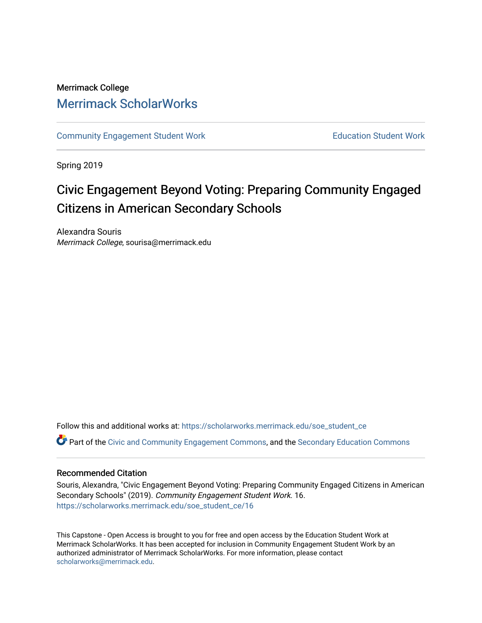#### Merrimack College [Merrimack ScholarWorks](https://scholarworks.merrimack.edu/)

[Community Engagement Student Work](https://scholarworks.merrimack.edu/soe_student_ce) **Education Student Work** Education Student Work

Spring 2019

#### Civic Engagement Beyond Voting: Preparing Community Engaged Citizens in American Secondary Schools

Alexandra Souris Merrimack College, sourisa@merrimack.edu

Follow this and additional works at: [https://scholarworks.merrimack.edu/soe\\_student\\_ce](https://scholarworks.merrimack.edu/soe_student_ce?utm_source=scholarworks.merrimack.edu%2Fsoe_student_ce%2F16&utm_medium=PDF&utm_campaign=PDFCoverPages) 

Part of the [Civic and Community Engagement Commons](http://network.bepress.com/hgg/discipline/1028?utm_source=scholarworks.merrimack.edu%2Fsoe_student_ce%2F16&utm_medium=PDF&utm_campaign=PDFCoverPages), and the [Secondary Education Commons](http://network.bepress.com/hgg/discipline/1382?utm_source=scholarworks.merrimack.edu%2Fsoe_student_ce%2F16&utm_medium=PDF&utm_campaign=PDFCoverPages) 

#### Recommended Citation

Souris, Alexandra, "Civic Engagement Beyond Voting: Preparing Community Engaged Citizens in American Secondary Schools" (2019). Community Engagement Student Work. 16. [https://scholarworks.merrimack.edu/soe\\_student\\_ce/16](https://scholarworks.merrimack.edu/soe_student_ce/16?utm_source=scholarworks.merrimack.edu%2Fsoe_student_ce%2F16&utm_medium=PDF&utm_campaign=PDFCoverPages)

This Capstone - Open Access is brought to you for free and open access by the Education Student Work at Merrimack ScholarWorks. It has been accepted for inclusion in Community Engagement Student Work by an authorized administrator of Merrimack ScholarWorks. For more information, please contact [scholarworks@merrimack.edu](mailto:scholarworks@merrimack.edu).